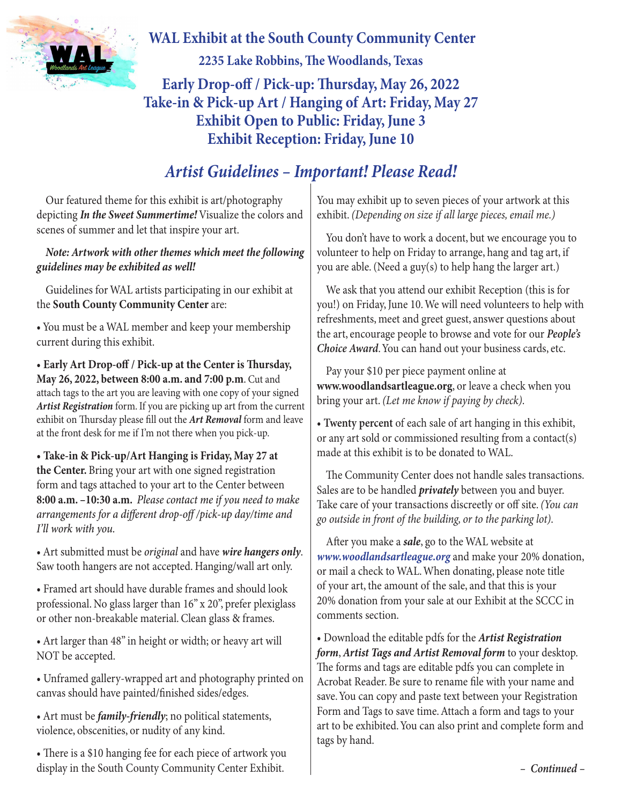

 **WAL Exhibit at the South County Community Center 2235 Lake Robbins, The Woodlands, Texas Early Drop-off / Pick-up: Thursday, May 26, 2022 Take-in & Pick-up Art / Hanging of Art: Friday, May 27 Exhibit Open to Public: Friday, June 3 Exhibit Reception: Friday, June 10**

## *Artist Guidelines – Important! Please Read!*

Our featured theme for this exhibit is art/photography depicting *In the Sweet Summertime!* Visualize the colors and scenes of summer and let that inspire your art.

## *Note: Artwork with other themes which meet the following guidelines may be exhibited as well!*

Guidelines for WAL artists participating in our exhibit at the **South County Community Center** are:

• You must be a WAL member and keep your membership current during this exhibit.

• **Early Art Drop-off / Pick-up at the Center is Thursday, May 26, 2022, between 8:00 a.m. and 7:00 p.m**. Cut and attach tags to the art you are leaving with one copy of your signed *Artist Registration* form. If you are picking up art from the current exhibit on Thursday please fill out the *Art Removal* form and leave at the front desk for me if I'm not there when you pick-up.

**• Take-in & Pick-up/Art Hanging is Friday, May 27 at the Center.** Bring your art with one signed registration form and tags attached to your art to the Center between **8:00 a.m. –10:30 a.m.** *Please contact me if you need to make arrangements for a different drop-off /pick-up day/time and I'll work with you.* 

• Art submitted must be *original* and have *wire hangers only*. Saw tooth hangers are not accepted. Hanging/wall art only.

• Framed art should have durable frames and should look professional. No glass larger than 16" x 20", prefer plexiglass or other non-breakable material. Clean glass & frames.

• Art larger than 48" in height or width; or heavy art will NOT be accepted.

• Unframed gallery-wrapped art and photography printed on canvas should have painted/finished sides/edges.

• Art must be *family-friendly*; no political statements, violence, obscenities, or nudity of any kind.

• There is a \$10 hanging fee for each piece of artwork you display in the South County Community Center Exhibit.

You may exhibit up to seven pieces of your artwork at this exhibit. *(Depending on size if all large pieces, email me.)*

You don't have to work a docent, but we encourage you to volunteer to help on Friday to arrange, hang and tag art, if you are able. (Need a guy(s) to help hang the larger art.)

We ask that you attend our exhibit Reception (this is for you!) on Friday, June 10. We will need volunteers to help with refreshments, meet and greet guest, answer questions about the art, encourage people to browse and vote for our *People's Choice Award*. You can hand out your business cards, etc.

Pay your \$10 per piece payment online at **www.woodlandsartleague.org**, or leave a check when you bring your art. *(Let me know if paying by check)*.

• **Twenty percent** of each sale of art hanging in this exhibit, or any art sold or commissioned resulting from a contact(s) made at this exhibit is to be donated to WAL.

The Community Center does not handle sales transactions. Sales are to be handled *privately* between you and buyer. Take care of your transactions discreetly or off site. *(You can go outside in front of the building, or to the parking lot)*.

After you make a *sale*, go to the WAL website at *www.woodlandsartleague.org* and make your 20% donation, or mail a check to WAL. When donating, please note title of your art, the amount of the sale, and that this is your 20% donation from your sale at our Exhibit at the SCCC in comments section.

• Download the editable pdfs for the *Artist Registration form*, *Artist Tags and Artist Removal form* to your desktop. The forms and tags are editable pdfs you can complete in Acrobat Reader. Be sure to rename file with your name and save. You can copy and paste text between your Registration Form and Tags to save time. Attach a form and tags to your art to be exhibited. You can also print and complete form and tags by hand.